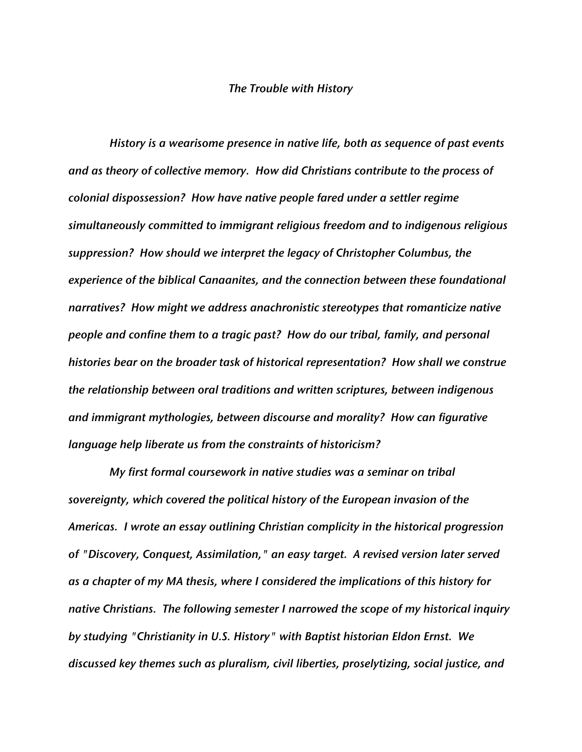## *The Trouble with History*

*History is a wearisome presence in native life, both as sequence of past events and as theory of collective memory. How did Christians contribute to the process of colonial dispossession? How have native people fared under a settler regime simultaneously committed to immigrant religious freedom and to indigenous religious suppression? How should we interpret the legacy of Christopher Columbus, the experience of the biblical Canaanites, and the connection between these foundational narratives? How might we address anachronistic stereotypes that romanticize native people and confine them to a tragic past? How do our tribal, family, and personal histories bear on the broader task of historical representation? How shall we construe the relationship between oral traditions and written scriptures, between indigenous and immigrant mythologies, between discourse and morality? How can figurative language help liberate us from the constraints of historicism?*

*My first formal coursework in native studies was a seminar on tribal sovereignty, which covered the political history of the European invasion of the Americas. I wrote an essay outlining Christian complicity in the historical progression of "Discovery, Conquest, Assimilation," an easy target. A revised version later served as a chapter of my MA thesis, where I considered the implications of this history for native Christians. The following semester I narrowed the scope of my historical inquiry by studying "Christianity in U.S. History" with Baptist historian Eldon Ernst. We discussed key themes such as pluralism, civil liberties, proselytizing, social justice, and*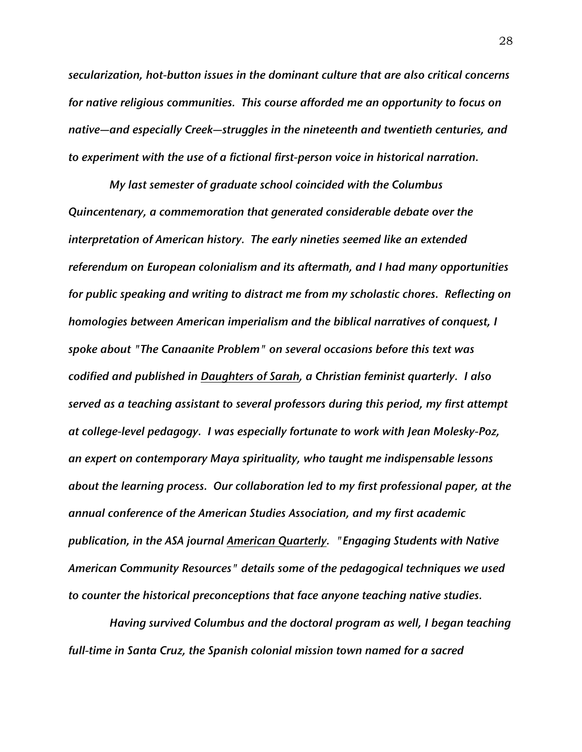*secularization, hot-button issues in the dominant culture that are also critical concerns for native religious communities. This course afforded me an opportunity to focus on native—and especially Creek—struggles in the nineteenth and twentieth centuries, and to experiment with the use of a fictional first-person voice in historical narration.*

*My last semester of graduate school coincided with the Columbus Quincentenary, a commemoration that generated considerable debate over the interpretation of American history. The early nineties seemed like an extended referendum on European colonialism and its aftermath, and I had many opportunities for public speaking and writing to distract me from my scholastic chores. Reflecting on homologies between American imperialism and the biblical narratives of conquest, I spoke about "The Canaanite Problem" on several occasions before this text was codified and published in Daughters of Sarah, a Christian feminist quarterly. I also served as a teaching assistant to several professors during this period, my first attempt at college-level pedagogy. I was especially fortunate to work with Jean Molesky-Poz, an expert on contemporary Maya spirituality, who taught me indispensable lessons about the learning process. Our collaboration led to my first professional paper, at the annual conference of the American Studies Association, and my first academic publication, in the ASA journal American Quarterly. "Engaging Students with Native American Community Resources" details some of the pedagogical techniques we used to counter the historical preconceptions that face anyone teaching native studies.*

*Having survived Columbus and the doctoral program as well, I began teaching full-time in Santa Cruz, the Spanish colonial mission town named for a sacred*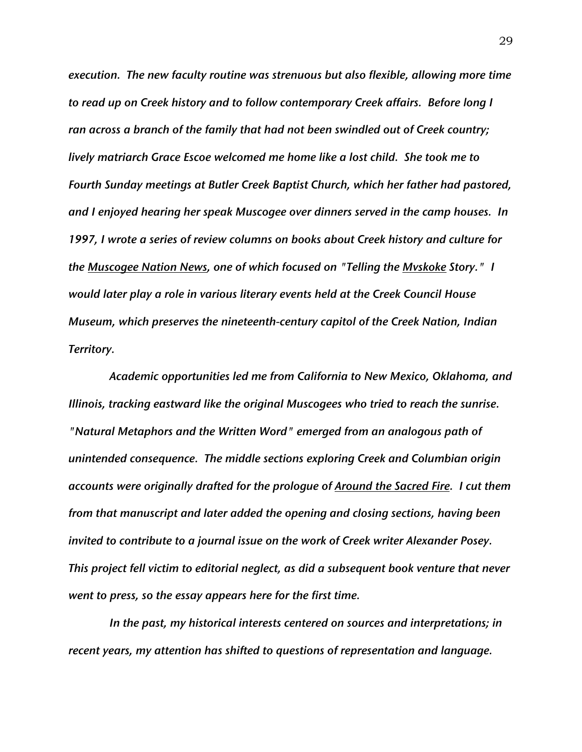*execution. The new faculty routine was strenuous but also flexible, allowing more time to read up on Creek history and to follow contemporary Creek affairs. Before long I ran across a branch of the family that had not been swindled out of Creek country; lively matriarch Grace Escoe welcomed me home like a lost child. She took me to Fourth Sunday meetings at Butler Creek Baptist Church, which her father had pastored, and I enjoyed hearing her speak Muscogee over dinners served in the camp houses. In 1997, I wrote a series of review columns on books about Creek history and culture for the Muscogee Nation News, one of which focused on "Telling the Mvskoke Story." I would later play a role in various literary events held at the Creek Council House Museum, which preserves the nineteenth-century capitol of the Creek Nation, Indian Territory.*

*Academic opportunities led me from California to New Mexico, Oklahoma, and Illinois, tracking eastward like the original Muscogees who tried to reach the sunrise. "Natural Metaphors and the Written Word" emerged from an analogous path of unintended consequence. The middle sections exploring Creek and Columbian origin accounts were originally drafted for the prologue of Around the Sacred Fire. I cut them from that manuscript and later added the opening and closing sections, having been invited to contribute to a journal issue on the work of Creek writer Alexander Posey. This project fell victim to editorial neglect, as did a subsequent book venture that never went to press, so the essay appears here for the first time.*

*In the past, my historical interests centered on sources and interpretations; in recent years, my attention has shifted to questions of representation and language.*